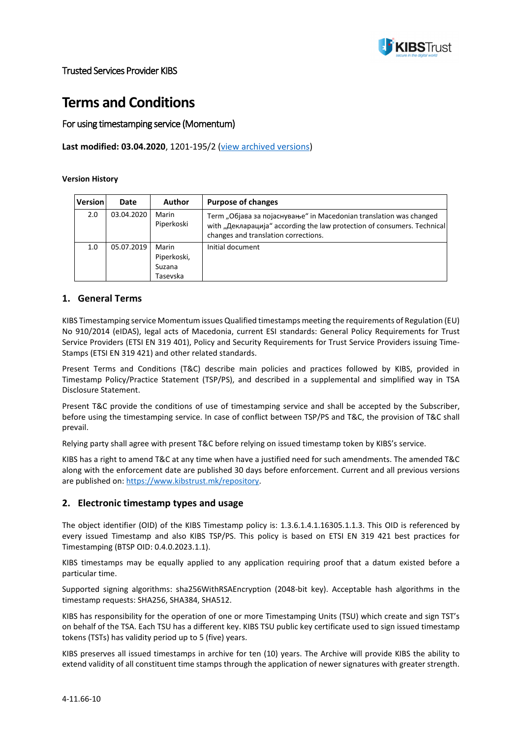

# **Terms and Conditions**

### For using timestamping service (Momentum)

**Last modified: 03.04.2020**, 1201-195/2 ([view archived versions](https://www.kibstrust.mk/en-GB/Home/Dokumenti/IzminatiVerziimk.aspx/))

#### **Version History**

| <b>Version</b> | Date       | <b>Author</b>                              | <b>Purpose of changes</b>                                                                                                                                                             |
|----------------|------------|--------------------------------------------|---------------------------------------------------------------------------------------------------------------------------------------------------------------------------------------|
| 2.0            | 03.04.2020 | Marin<br>Piperkoski                        | Term "Објава за појаснување" in Macedonian translation was changed<br>with "Декларација" according the law protection of consumers. Technical<br>changes and translation corrections. |
| 1.0            | 05.07.2019 | Marin<br>Piperkoski,<br>Suzana<br>Tasevska | Initial document                                                                                                                                                                      |

#### **1. General Terms**

KIBS Timestamping service Momentum issues Qualified timestamps meeting the requirements of Regulation (EU) No 910/2014 (eIDAS), legal acts of Macedonia, current ESI standards: General Policy Requirements for Trust Service Providers (ETSI EN 319 401), Policy and Security Requirements for Trust Service Providers issuing Time-Stamps (ETSI EN 319 421) and other related standards.

Present Terms and Conditions (T&C) describe main policies and practices followed by KIBS, provided in Timestamp Policy/Practice Statement (TSP/PS), and described in a supplemental and simplified way in TSA Disclosure Statement.

Present T&C provide the conditions of use of timestamping service and shall be accepted by the Subscriber, before using the timestamping service. In case of conflict between TSP/PS and T&C, the provision of T&C shall prevail.

Relying party shall agree with present T&C before relying on issued timestamp token by KIBS's service.

KIBS has a right to amend T&C at any time when have a justified need for such amendments. The amended T&C along with the enforcement date are published 30 days before enforcement. Current and all previous versions are published on: <https://www.kibstrust.mk/repository>.

#### **2. Electronic timestamp types and usage**

The object identifier (OID) of the KIBS Timestamp policy is: 1.3.6.1.4.1.16305.1.1.3. This OID is referenced by every issued Timestamp and also KIBS TSP/PS. This policy is based on ETSI EN 319 421 best practices for Timestamping (BTSP OID: 0.4.0.2023.1.1).

KIBS timestamps may be equally applied to any application requiring proof that a datum existed before a particular time.

Supported signing algorithms: sha256WithRSAEncryption (2048-bit key). Acceptable hash algorithms in the timestamp requests: SHA256, SHA384, SHA512.

KIBS has responsibility for the operation of one or more Timestamping Units (TSU) which create and sign TST's on behalf of the TSA. Each TSU has a different key. KIBS TSU public key certificate used to sign issued timestamp tokens (TSTs) has validity period up to 5 (five) years.

KIBS preserves all issued timestamps in archive for ten (10) years. The Archive will provide KIBS the ability to extend validity of all constituent time stamps through the application of newer signatures with greater strength.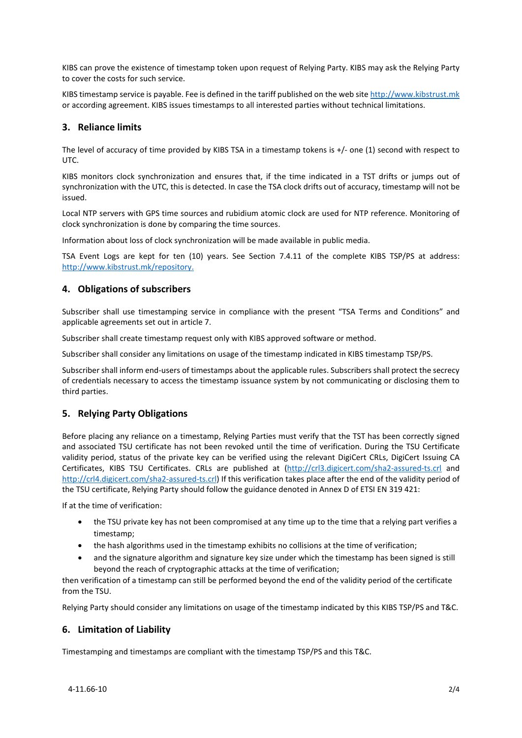KIBS can prove the existence of timestamp token upon request of Relying Party. KIBS may ask the Relying Party to cover the costs for such service.

KIBS timestamp service is payable. Fee is defined in the tariff published on the web sit[e http://www.kibstrust.mk](http://www.kibstrust.mk/) or according agreement. KIBS issues timestamps to all interested parties without technical limitations.

# **3. Reliance limits**

The level of accuracy of time provided by KIBS TSA in a timestamp tokens is +/- one (1) second with respect to UTC.

KIBS monitors clock synchronization and ensures that, if the time indicated in a TST drifts or jumps out of synchronization with the UTC, this is detected. In case the TSA clock drifts out of accuracy, timestamp will not be issued.

Local NTP servers with GPS time sources and rubidium atomic clock are used for NTP reference. Monitoring of clock synchronization is done by comparing the time sources.

Information about loss of clock synchronization will be made available in public media.

TSA Event Logs are kept for ten (10) years. See Section 7.4.11 of the complete KIBS TSP/PS at address: <http://www.kibstrust.mk/repository>.

#### **4. Obligations of subscribers**

Subscriber shall use timestamping service in compliance with the present "TSA Terms and Conditions" and applicable agreements set out in article 7.

Subscriber shall create timestamp request only with KIBS approved software or method.

Subscriber shall consider any limitations on usage of the timestamp indicated in KIBS timestamp TSP/PS.

Subscriber shall inform end-users of timestamps about the applicable rules. Subscribers shall protect the secrecy of credentials necessary to access the timestamp issuance system by not communicating or disclosing them to third parties.

#### **5. Relying Party Obligations**

Before placing any reliance on a timestamp, Relying Parties must verify that the TST has been correctly signed and associated TSU certificate has not been revoked until the time of verification. During the TSU Certificate validity period, status of the private key can be verified using the relevant DigiCert CRLs, DigiCert Issuing CA Certificates, KIBS TSU Certificates. CRLs are published at [\(http://crl3.digicert.com/sha2](http://crl3.digicert.com/sha2-assured-ts.crl)-assured-ts.crl and [http://crl4.digicert.com/sha2](http://crl4.digicert.com/sha2-assured-ts.crl)-assured-ts.crl) If this verification takes place after the end of the validity period of the TSU certificate, Relying Party should follow the guidance denoted in Annex D of ETSI EN 319 421:

If at the time of verification:

- the TSU private key has not been compromised at any time up to the time that a relying part verifies a timestamp;
- the hash algorithms used in the timestamp exhibits no collisions at the time of verification;
- and the signature algorithm and signature key size under which the timestamp has been signed is still beyond the reach of cryptographic attacks at the time of verification;

then verification of a timestamp can still be performed beyond the end of the validity period of the certificate from the TSU.

Relying Party should consider any limitations on usage of the timestamp indicated by this KIBS TSP/PS and T&C.

#### **6. Limitation of Liability**

Timestamping and timestamps are compliant with the timestamp TSP/PS and this T&C.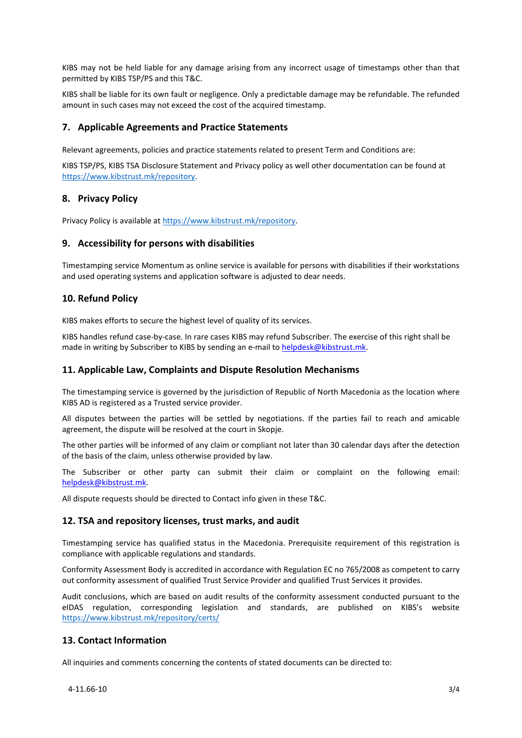KIBS may not be held liable for any damage arising from any incorrect usage of timestamps other than that permitted by KIBS TSP/PS and this T&C.

KIBS shall be liable for its own fault or negligence. Only a predictable damage may be refundable. The refunded amount in such cases may not exceed the cost of the acquired timestamp.

### **7. Applicable Agreements and Practice Statements**

Relevant agreements, policies and practice statements related to present Term and Conditions are:

KIBS TSP/PS, KIBS TSA Disclosure Statement and Privacy policy as well other documentation can be found at <https://www.kibstrust.mk/repository>.

#### **8. Privacy Policy**

Privacy Policy is available at <https://www.kibstrust.mk/repository>.

#### **9. Accessibility for persons with disabilities**

Timestamping service Momentum as online service is available for persons with disabilities if their workstations and used operating systems and application software is adjusted to dear needs.

## **10. Refund Policy**

KIBS makes efforts to secure the highest level of quality of its services.

KIBS handles refund case-by-case. In rare cases KIBS may refund Subscriber. The exercise of this right shall be made in writing by Subscriber to KIBS by sending an e-mail t[o helpdesk@kibstrust.mk](mailto:helpdesk@kibstrust.mk).

#### **11. Applicable Law, Complaints and Dispute Resolution Mechanisms**

The timestamping service is governed by the jurisdiction of Republic of North Macedonia as the location where KIBS AD is registered as a Trusted service provider.

All disputes between the parties will be settled by negotiations. If the parties fail to reach and amicable agreement, the dispute will be resolved at the court in Skopje.

The other parties will be informed of any claim or compliant not later than 30 calendar days after the detection of the basis of the claim, unless otherwise provided by law.

The Subscriber or other party can submit their claim or complaint on the following email: [helpdesk@kibstrust.mk](mailto:helpdesk@kibstrust.mk).

All dispute requests should be directed to Contact info given in these T&C.

#### **12. TSA and repository licenses, trust marks, and audit**

Timestamping service has qualified status in the Macedonia. Prerequisite requirement of this registration is compliance with applicable regulations and standards.

Conformity Assessment Body is accredited in accordance with Regulation EC no 765/2008 as competent to carry out conformity assessment of qualified Trust Service Provider and qualified Trust Services it provides.

Audit conclusions, which are based on audit results of the conformity assessment conducted pursuant to the eIDAS regulation, corresponding legislation and standards, are published on KIBS's website <https://www.kibstrust.mk/repository/certs/>

#### **13. Contact Information**

All inquiries and comments concerning the contents of stated documents can be directed to: